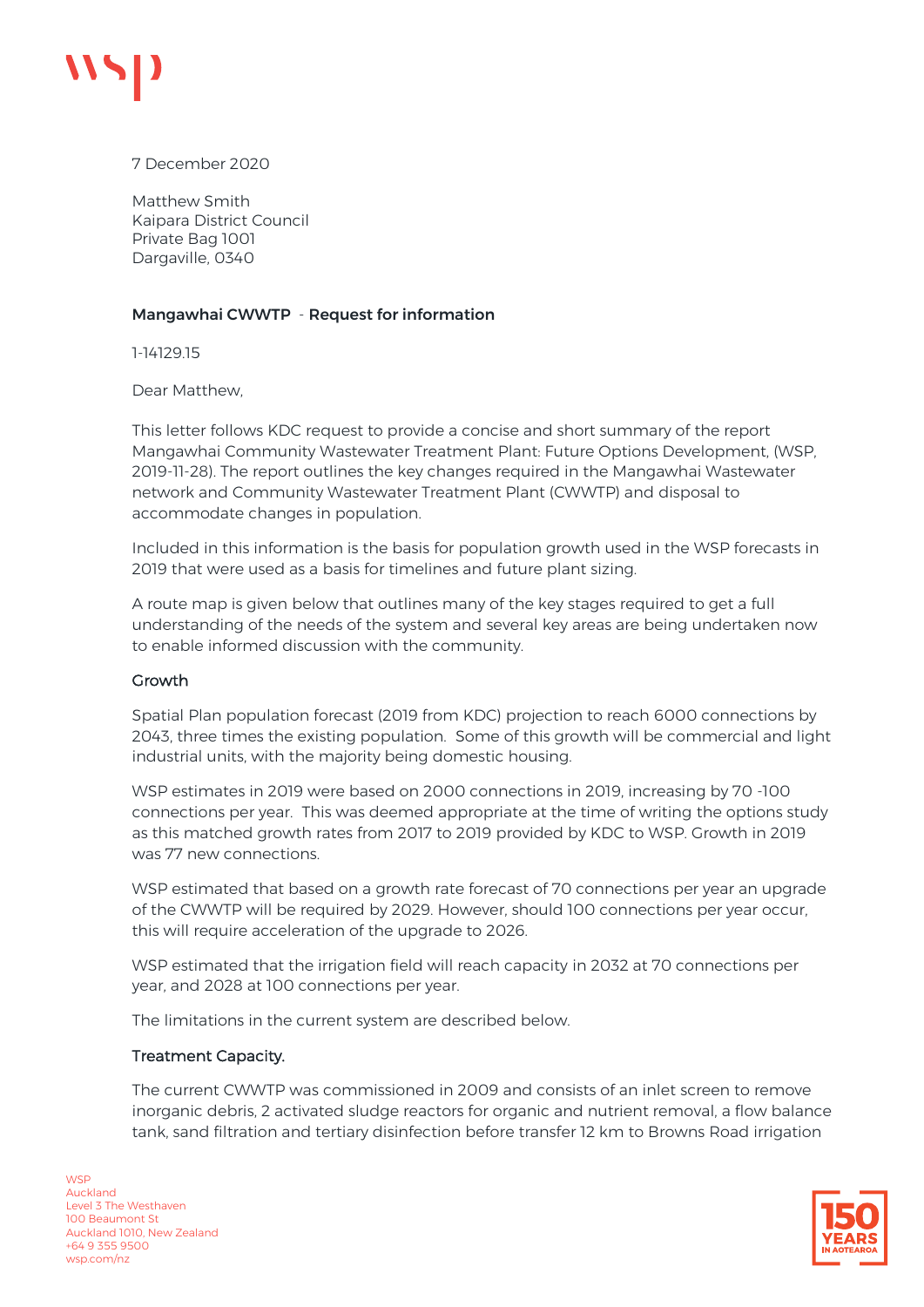

7 December 2020

Matthew Smith Kaipara District Council Private Bag 1001 Dargaville, 0340

## Mangawhai CWWTP - Request for information

1-14129.15

Dear Matthew,

This letter follows KDC request to provide a concise and short summary of the report Mangawhai Community Wastewater Treatment Plant: Future Options Development, (WSP, 2019-11-28). The report outlines the key changes required in the Mangawhai Wastewater network and Community Wastewater Treatment Plant (CWWTP) and disposal to accommodate changes in population.

Included in this information is the basis for population growth used in the WSP forecasts in 2019 that were used as a basis for timelines and future plant sizing.

A route map is given below that outlines many of the key stages required to get a full understanding of the needs of the system and several key areas are being undertaken now to enable informed discussion with the community.

### Growth

Spatial Plan population forecast (2019 from KDC) projection to reach 6000 connections by 2043, three times the existing population. Some of this growth will be commercial and light industrial units, with the majority being domestic housing.

WSP estimates in 2019 were based on 2000 connections in 2019, increasing by 70 -100 connections per year. This was deemed appropriate at the time of writing the options study as this matched growth rates from 2017 to 2019 provided by KDC to WSP. Growth in 2019 was 77 new connections.

WSP estimated that based on a growth rate forecast of 70 connections per year an upgrade of the CWWTP will be required by 2029. However, should 100 connections per year occur, this will require acceleration of the upgrade to 2026.

WSP estimated that the irrigation field will reach capacity in 2032 at 70 connections per year, and 2028 at 100 connections per year.

The limitations in the current system are described below.

### Treatment Capacity.

The current CWWTP was commissioned in 2009 and consists of an inlet screen to remove inorganic debris, 2 activated sludge reactors for organic and nutrient removal, a flow balance tank, sand filtration and tertiary disinfection before transfer 12 km to Browns Road irrigation

**WSP** Auckland Level 3 The Westhaven 100 Beaumont St Auckland 1010, New Zealand +64 9 355 9500 wsp.com/nz

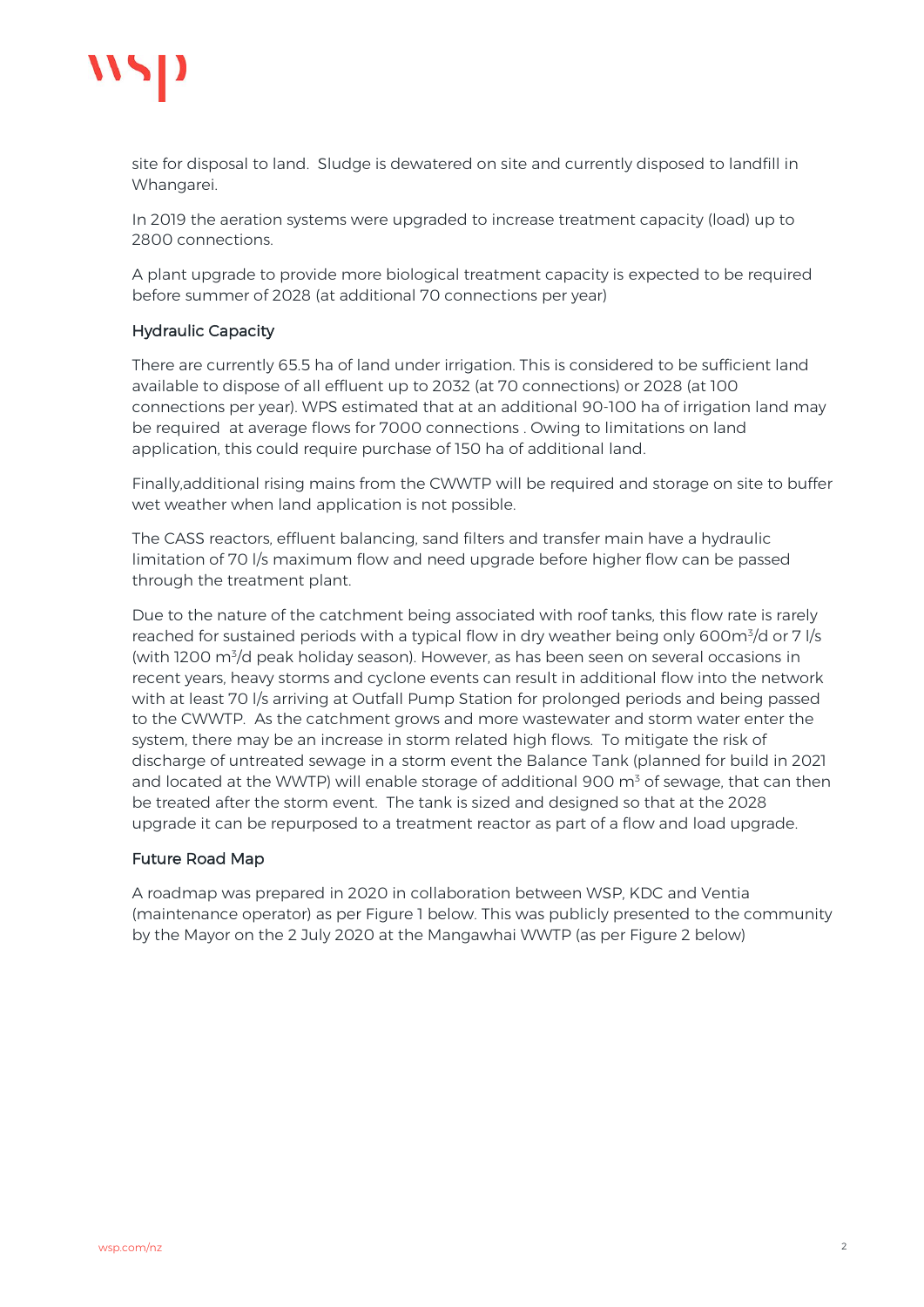

site for disposal to land. Sludge is dewatered on site and currently disposed to landfill in Whangarei.

In 2019 the aeration systems were upgraded to increase treatment capacity (load) up to 2800 connections.

A plant upgrade to provide more biological treatment capacity is expected to be required before summer of 2028 (at additional 70 connections per year)

## Hydraulic Capacity

There are currently 65.5 ha of land under irrigation. This is considered to be sufficient land available to dispose of all effluent up to 2032 (at 70 connections) or 2028 (at 100 connections per year). WPS estimated that at an additional 90-100 ha of irrigation land may be required at average flows for 7000 connections . Owing to limitations on land application, this could require purchase of 150 ha of additional land.

Finally,additional rising mains from the CWWTP will be required and storage on site to buffer wet weather when land application is not possible.

The CASS reactors, effluent balancing, sand filters and transfer main have a hydraulic limitation of 70 l/s maximum flow and need upgrade before higher flow can be passed through the treatment plant.

Due to the nature of the catchment being associated with roof tanks, this flow rate is rarely reached for sustained periods with a typical flow in dry weather being only 600m<sup>3</sup>/d or 7 l/s (with 1200 m<sup>3</sup>/d peak holiday season). However, as has been seen on several occasions in recent years, heavy storms and cyclone events can result in additional flow into the network with at least 70 l/s arriving at Outfall Pump Station for prolonged periods and being passed to the CWWTP. As the catchment grows and more wastewater and storm water enter the system, there may be an increase in storm related high flows. To mitigate the risk of discharge of untreated sewage in a storm event the Balance Tank (planned for build in 2021 and located at the WWTP) will enable storage of additional 900  $m<sup>3</sup>$  of sewage, that can then be treated after the storm event. The tank is sized and designed so that at the 2028 upgrade it can be repurposed to a treatment reactor as part of a flow and load upgrade.

### Future Road Map

A roadmap was prepared in 2020 in collaboration between WSP, KDC and Ventia (maintenance operator) as per Figure 1 below. This was publicly presented to the community by the Mayor on the 2 July 2020 at the Mangawhai WWTP (as per Figure 2 below)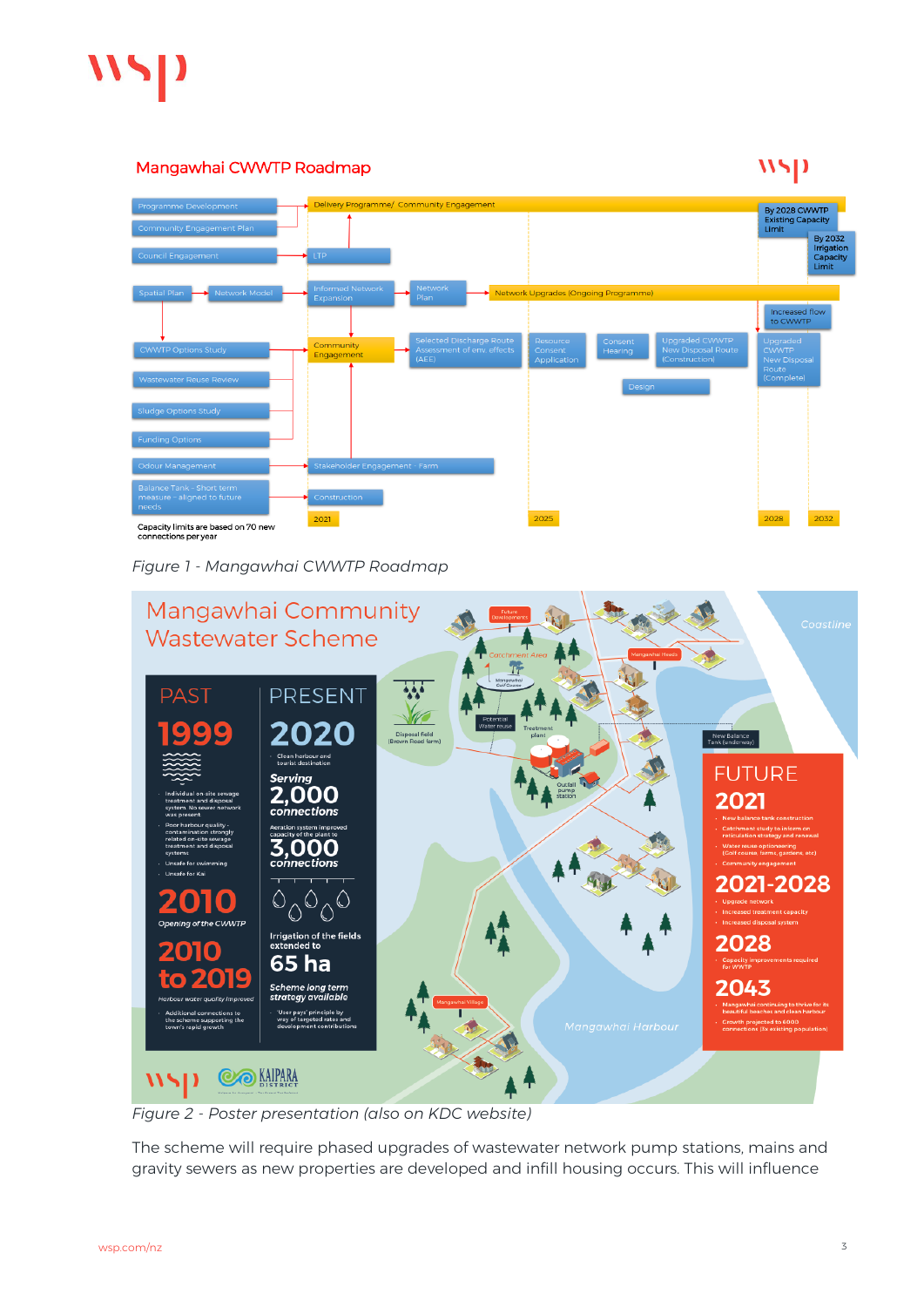

# Mangawhai CWWTP Roadmap

# $WSD$



*Figure 1 - Mangawhai CWWTP Roadmap*



*Figure 2 - Poster presentation (also on KDC website)*

The scheme will require phased upgrades of wastewater network pump stations, mains and gravity sewers as new properties are developed and infill housing occurs. This will influence